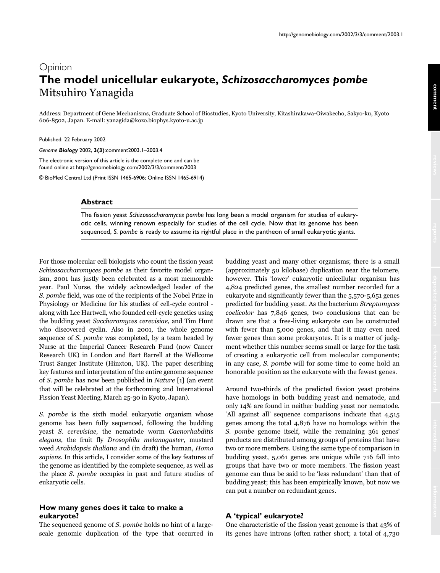# Opinion **The model unicellular eukaryote,** *Schizosaccharomyces pombe* Mitsuhiro Yanagida

Address: Department of Gene Mechanisms, Graduate School of Biostudies, Kyoto University, Kitashirakawa-Oiwakecho, Sakyo-ku, Kyoto 606-8502, Japan. E-mail: yanagida@kozo.biophys.kyoto-u.ac.jp

Published: 22 February 2002

*Genome Biology* 2002, **3(3)**:comment2003.1–2003.4

The electronic version of this article is the complete one and can be found online at http://genomebiology.com/2002/3/3/comment/2003

© BioMed Central Ltd (Print ISSN 1465-6906; Online ISSN 1465-6914)

## **Abstract**

The fission yeast *Schizosaccharomyces pombe* has long been a model organism for studies of eukaryotic cells, winning renown especially for studies of the cell cycle. Now that its genome has been sequenced, *S. pombe* is ready to assume its rightful place in the pantheon of small eukaryotic giants.

For those molecular cell biologists who count the fission yeast Schizosaccharomyces pombe as their favorite model organism, 2001 has justly been celebrated as a most memorable year. Paul Nurse, the widely acknowledged leader of the S. pombe field, was one of the recipients of the Nobel Prize in Physiology or Medicine for his studies of cell-cycle control along with Lee Hartwell, who founded cell-cycle genetics using the budding yeast *Saccharomyces cerevisiae*, and Tim Hunt who discovered cyclin. Also in 2001, the whole genome sequence of S. pombe was completed, by a team headed by Nurse at the Imperial Cancer Research Fund (now Cancer Research UK) in London and Bart Barrell at the Wellcome Trust Sanger Institute (Hinxton, UK). The paper describing key features and interpretation of the entire genome sequence of S. pombe has now been published in Nature [1] (an event that will be celebrated at the forthcoming 2nd International Fission Yeast Meeting, March 25-30 in Kyoto, Japan).

S. pombe is the sixth model eukaryotic organism whose genome has been fully sequenced, following the budding yeast *S. cerevisiae*, the nematode worm *Caenorhabditis elegans, the fruit fly Drosophila melanogaster,* mustard weed Arabidopsis thaliana and (in draft) the human, Homo sapiens. In this article, I consider some of the key features of the genome as identified by the complete sequence, as well as the place S. pombe occupies in past and future studies of eukaryotic cells.

# **How many genes does it take to make a eukaryote?**

The sequenced genome of S. pombe holds no hint of a largescale genomic duplication of the type that occurred in budding yeast and many other organisms; there is a small (approximately 50 kilobase) duplication near the telomere, however. This 'lower' eukaryotic unicellular organism has 4,824 predicted genes, the smallest number recorded for a eukaryote and significantly fewer than the 5,570-5,651 genes predicted for budding yeast. As the bacterium *Streptomyces* coelicolor has 7,846 genes, two conclusions that can be drawn are that a free-living eukaryote can be constructed with fewer than 5,000 genes, and that it may even need fewer genes than some prokaryotes. It is a matter of judgment whether this number seems small or large for the task of creating a eukaryotic cell from molecular components; in any case, S. pombe will for some time to come hold an honorable position as the eukaryote with the fewest genes.

Around two-thirds of the predicted fission yeast proteins have homologs in both budding yeast and nematode, and only 14% are found in neither budding yeast nor nematode. 'All against all' sequence comparisons indicate that  $4,515$ genes among the total 4,876 have no homologs within the  $\,$ S. pombe genome itself, while the remaining 361 genes' products are distributed among groups of proteins that have two or more members. Using the same type of comparison in budding yeast, 5,061 genes are unique while 716 fall into groups that have two or more members. The fission yeast genome can thus be said to be 'less redundant' than that of budding yeast; this has been empirically known, but now we can put a number on redundant genes.

# **A 'typical' eukaryote?**

One characteristic of the fission yeast genome is that 43% of its genes have introns (often rather short; a total of 4,730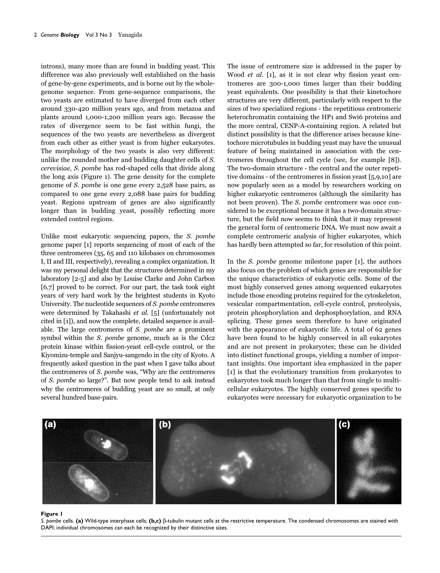introns), many more than are found in budding yeast. This difference was also previously well established on the basis of gene-by-gene experiments, and is borne out by the wholegenome sequence. From gene-sequence comparisons, the two yeasts are estimated to have diverged from each other around 330-420 million years ago, and from metazoa and plants around 1,000-1,200 million years ago. Because the rates of divergence seem to be fast within fungi, the sequences of the two yeasts are nevertheless as divergent from each other as either yeast is from higher eukaryotes. The morphology of the two yeasts is also very different: unlike the rounded mother and budding daughter cells of S. cerevisiae, S. pombe has rod-shaped cells that divide along the long axis (Figure 1). The gene density for the complete genome of S, pombe is one gene every  $2,528$  base pairs, as compared to one gene every 2,088 base pairs for budding yeast. Regions upstream of genes are also significantly longer than in budding yeast, possibly reflecting more extended control regions.

Unlike most eukaryotic sequencing papers, the S. pombe genome paper [1] reports sequencing of most of each of the three centromeres  $(35, 65, 410)$  kilobases on chromosomes I, II and III, respectively), revealing a complex organization. It was my personal delight that the structures determined in my laboratory [2-5] and also by Louise Clarke and John Carbon [6,7] proved to be correct. For our part, the task took eight years of very hard work by the brightest students in Kyoto University. The nucleotide sequences of S. pombe centromeres were determined by Takahashi et al. [5] (unfortunately not cited in [1]), and now the complete, detailed sequence is available. The large centromeres of S. pombe are a prominent symbol within the S. pombe genome, much as is the Cdc2 protein kinase within fission-yeast cell-cycle control, or the Kiyomizu-temple and Sanjyu-sangendo in the city of Kyoto. A frequently asked question in the past when I gave talks about the centromeres of S. pombe was, "Why are the centromeres" of S. pombe so large?". But now people tend to ask instead why the centromeres of budding yeast are so small, at only several hundred base-pairs.

The issue of centromere size is addressed in the paper by Wood et al. [1], as it is not clear why fission yeast centromeres are 300-1,000 times larger than their budding yeast equivalents. One possibility is that their kinetochore structures are very different, particularly with respect to the sizes of two specialized regions - the repetitious centromeric heterochromatin containing the HP1 and Swi6 proteins and the more central, CENP-A-containing region. A related but distinct possibility is that the difference arises because kineto chore microtubules in budding yeast may have the unusual feature of being maintained in association with the centromeres throughout the cell cycle (see, for example [8]). The two-domain structure - the central and the outer repetitive domains - of the centromeres in fission yeast  $[5,9,10]$  are now popularly seen as a model by researchers working on higher eukaryotic centromeres (although the similarity has not been proven). The *S. pombe* centromere was once considered to be exceptional because it has a two-domain structure, but the field now seems to think that it may represent the general form of centromeric DNA. We must now await a complete centromeric analysis of higher eukaryotes, which has hardly been attempted so far, for resolution of this point.

In the *S. pombe* genome milestone paper  $[1]$ , the authors also focus on the problem of which genes are responsible for the unique characteristics of eukaryotic cells. Some of the most highly conserved genes among sequenced eukaryotes include those encoding proteins required for the cytoskeleton, vesicular compartmentation, cell-cycle control, proteolysis, protein phosphorylation and dephosphorylation, and RNA splicing. These genes seem therefore to have originated with the appearance of eukaryotic life. A total of 62 genes have been found to be highly conserved in all eukaryotes and are not present in prokaryotes; these can be divided into distinct functional groups, yielding a number of important insights. One important idea emphasized in the paper [1] is that the evolutionary transition from prokaryotes to eukaryotes took much longer than that from single to multicellular eukaryotes. The highly conserved genes specific to eukaryotes were necessary for eukaryotic organization to be



#### Figure I

S. pombe cells. (a) Wild-type interphase cells; (b,c)  $\beta$ -tubulin mutant cells at the restrictive temperature. The condensed chromosomes are stained with DAPI; individual chromosomes can each be recognized by their distinctive sizes.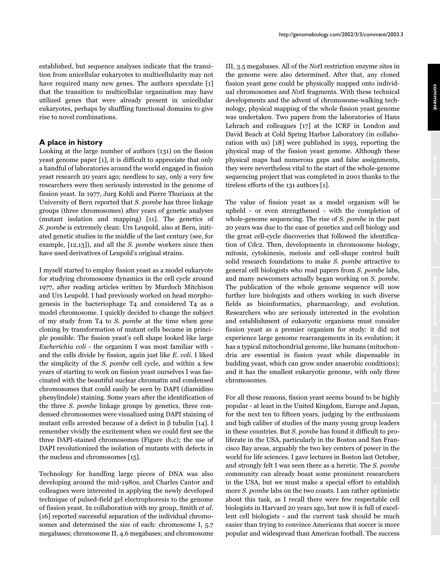established, but sequence analyses indicate that the transition from unicellular eukaryotes to multicellularity may not have required many new genes. The authors speculate [1] that the transition to multicellular organization may have utilized genes that were already present in unicellular eukaryotes, perhaps by shuffling functional domains to give rise to novel combinations.

## A place in history

Looking at the large number of authors  $(131)$  on the fission yeast genome paper [1], it is difficult to appreciate that only a handful of laboratories around the world engaged in fission yeast research 20 years ago; needless to say, only a very few researchers were then seriously interested in the genome of fission yeast. In 1977, Jurg Kohli and Pierre Thuriaux at the University of Bern reported that S. pombe has three linkage groups (three chromosomes) after years of genetic analyses (mutant isolation and mapping) [11]. The genetics of S. pombe is extremely clean: Urs Leupold, also at Bern, initiated genetic studies in the middle of the last century (see, for example, [12,13]), and all the *S. pombe* workers since then have used derivatives of Leupold's original strains.

I myself started to employ fission yeast as a model eukaryote for studying chromosome dynamics in the cell cycle around 1977, after reading articles written by Murdoch Mitchison and Urs Leupold. I had previously worked on head morphogenesis in the bacteriophage T4 and considered T4 as a model chromosome. I quickly decided to change the subject of my study from T4 to S. pombe at the time when gene cloning by transformation of mutant cells became in principle possible. The fission yeast's cell shape looked like large Escherichia coli - the organism I was most familiar with and the cells divide by fission, again just like E. coli. I liked the simplicity of the S. pombe cell cycle, and within a few years of starting to work on fission yeast ourselves I was fascinated with the beautiful nuclear chromatin and condensed chromosomes that could easily be seen by DAPI (diamidino phenylindole) staining. Some years after the identification of the three *S. pombe* linkage groups by genetics, three condensed chromosomes were visualized using DAPI staining of mutant cells arrested because of a defect in  $\beta$  tubulin [14]. I remember vividly the excitement when we could first see the three DAPI-stained chromosomes (Figure 1b,c); the use of DAPI revolutionized the isolation of mutants with defects in the nucleus and chromosomes [15].

Technology for handling large pieces of DNA was also developing around the mid-1980s, and Charles Cantor and colleagues were interested in applying the newly developed technique of pulsed-field gel electrophoresis to the genome of fission yeast. In collaboration with my group, Smith et al. [16] reported successful separation of the individual chromosomes and determined the size of each: chromosome I, 5.7 megabases; chromosome II, 4.6 megabases; and chromosome III, 3.5 megabases. All of the *Not*I restriction enzyme sites in the genome were also determined. After that, any cloned fission yeast gene could be physically mapped onto individual chromosomes and NotI fragments. With these technical developments and the advent of chromosome-walking technology, physical mapping of the whole fission yeast genome was undertaken. Two papers from the laboratories of Hans Lehrach and colleagues [17] at the ICRF in London and David Beach at Cold Spring Harbor Laboratory (in collaboration with us)  $\lceil 18 \rceil$  were published in 1993, reporting the physical map of the fission yeast genome. Although these physical maps had numerous gaps and false assignments, they were nevertheless vital to the start of the whole-genome sequencing project that was completed in 2001 thanks to the tireless efforts of the 131 authors [1].

The value of fission yeast as a model organism will be upheld - or even strengthened - with the completion of whole-genome sequencing. The rise of S, pombe in the past 20 years was due to the ease of genetics and cell biology and the great cell-cycle discoveries that followed the identification of Cdc2. Then, developments in chromosome biology, mitosis, cytokinesis, meiosis and cell-shape control built solid research foundations to make S. pombe attractive to general cell biologists who read papers from S. pombe labs, and many newcomers actually began working on S. pombe. The publication of the whole genome sequence will now further lure biologists and others working in such diverse fields as bioinformatics, pharmacology, and evolution. Researchers who are seriously interested in the evolution and establishment of eukaryotic organisms must consider fission yeast as a premier organism for study: it did not experience large genome rearrangements in its evolution; it has a typical mitochondrial genome, like humans (mitochondria are essential in fission yeast while dispensable in budding yeast, which can grow under anaerobic conditions); and it has the smallest eukaryotic genome, with only three chromosomes.

For all these reasons, fission yeast seems bound to be highly popular - at least in the United Kingdom, Europe and Japan, for the next ten to fifteen years, judging by the enthusiasm and high caliber of studies of the many young group leaders in these countries. But S. pombe has found it difficult to proliferate in the USA, particularly in the Boston and San Francisco Bay areas, arguably the two key centers of power in the world for life sciences. I gave lectures in Boston last October, and strongly felt I was seen there as a heretic. The *S. pombe* community can already boast some prominent researchers in the USA, but we must make a special effort to establish more S. pombe labs on the two coasts. I am rather optimistic about this task, as I recall there were few respectable cell biologists in Harvard 20 years ago, but now it is full of excellent cell biologists - and the current task should be much easier than trying to convince Americans that soccer is more popular and widespread than American football. The success